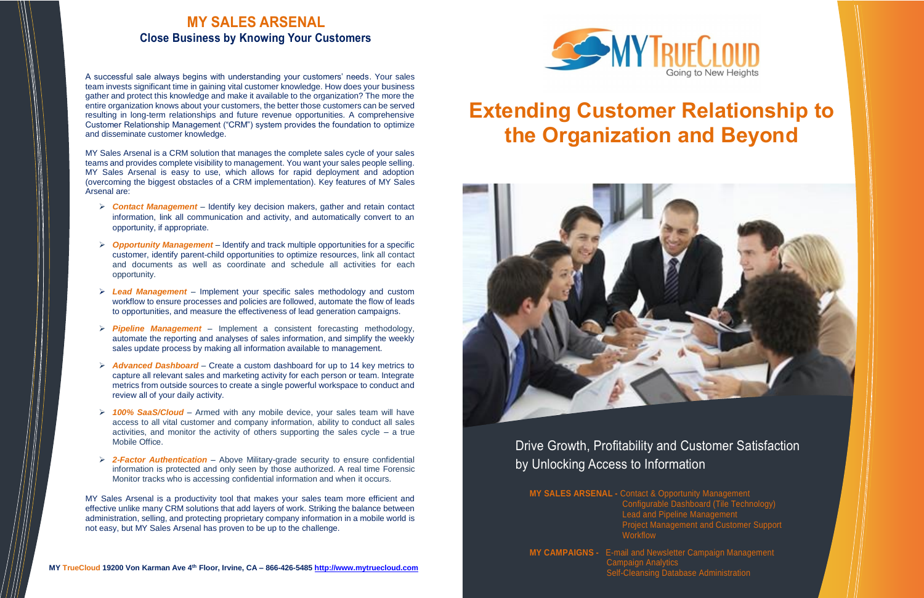

# Drive Growth, Profitability and Customer Satisfaction by Unlocking Access to Information

#### **MY SALES ARSENAL -** Contact & Opportunity Management

Configurable Dashboard (Tile Technology) Lead and Pipeline Management Project Management and Customer Support **Workflow** 

**MY CAMPAIGNS -** E-mail and Newsletter Campaign Management Campaign Analytics

Self-Cleansing Database Administration

# **Extending Customer Relationship to the Organization and Beyond**



## **MY SALES ARSENAL Close Business by Knowing Your Customers**

A successful sale always begins with understanding your customers' needs. Your sales team invests significant time in gaining vital customer knowledge. How does your business gather and protect this knowledge and make it available to the organization? The more the entire organization knows about your customers, the better those customers can be served resulting in long-term relationships and future revenue opportunities. A comprehensive Customer Relationship Management ("CRM") system provides the foundation to optimize and disseminate customer knowledge.

MY Sales Arsenal is a CRM solution that manages the complete sales cycle of your sales teams and provides complete visibility to management. You want your sales people selling. MY Sales Arsenal is easy to use, which allows for rapid deployment and adoption (overcoming the biggest obstacles of a CRM implementation). Key features of MY Sales Arsenal are:

- ➢ *Contact Management*  Identify key decision makers, gather and retain contact information, link all communication and activity, and automatically convert to an opportunity, if appropriate.
- ➢ *Opportunity Management* Identify and track multiple opportunities for a specific customer, identify parent-child opportunities to optimize resources, link all contact and documents as well as coordinate and schedule all activities for each opportunity.
- ➢ *Lead Management* Implement your specific sales methodology and custom workflow to ensure processes and policies are followed, automate the flow of leads to opportunities, and measure the effectiveness of lead generation campaigns.
- ➢ *Pipeline Management* Implement a consistent forecasting methodology, automate the reporting and analyses of sales information, and simplify the weekly sales update process by making all information available to management.
- ➢ *Advanced Dashboard* Create a custom dashboard for up to 14 key metrics to capture all relevant sales and marketing activity for each person or team. Integrate metrics from outside sources to create a single powerful workspace to conduct and review all of your daily activity.
- ➢ *100% SaaS/Cloud* Armed with any mobile device, your sales team will have access to all vital customer and company information, ability to conduct all sales activities, and monitor the activity of others supporting the sales cycle  $-$  a true Mobile Office.
- ➢ *2-Factor Authentication*  Above Military-grade security to ensure confidential information is protected and only seen by those authorized. A real time Forensic Monitor tracks who is accessing confidential information and when it occurs.

MY Sales Arsenal is a productivity tool that makes your sales team more efficient and effective unlike many CRM solutions that add layers of work. Striking the balance between administration, selling, and protecting proprietary company information in a mobile world is not easy, but MY Sales Arsenal has proven to be up to the challenge.